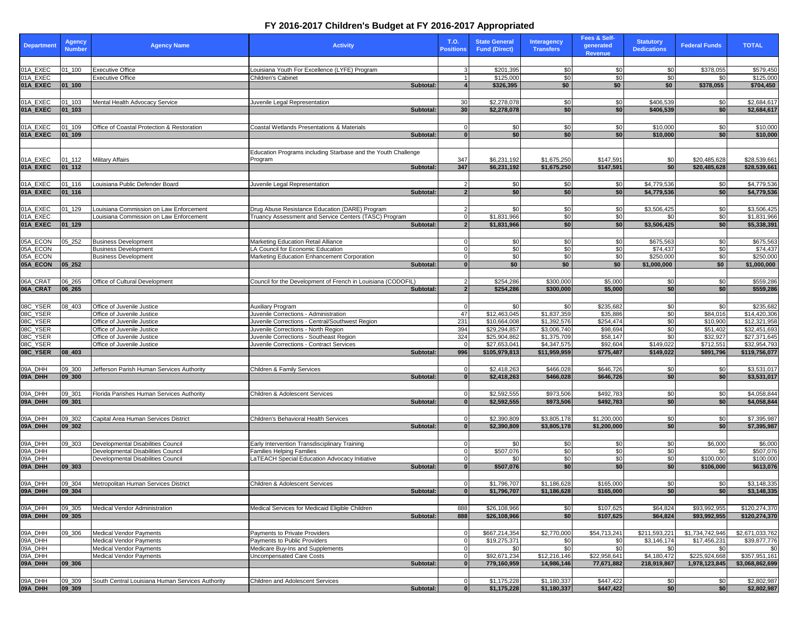## **FY 2016-2017 Children's Budget at FY 2016-2017 Appropriated**

|                      | <b>Agency</b>            |                                                           |                                                                     | T.O.                  | <b>State General</b>       | <b>Interagency</b> | Fees & Self-                | <b>Statutory</b>       |                      | <b>TOTAL</b>               |
|----------------------|--------------------------|-----------------------------------------------------------|---------------------------------------------------------------------|-----------------------|----------------------------|--------------------|-----------------------------|------------------------|----------------------|----------------------------|
| <b>Department</b>    | <b>Number</b>            | <b>Agency Name</b>                                        | <b>Activity</b>                                                     | <b>Positions</b>      | <b>Fund (Direct)</b>       | <b>Transfers</b>   | generated<br><b>Revenue</b> | <b>Dedications</b>     | <b>Federal Funds</b> |                            |
|                      |                          |                                                           |                                                                     |                       |                            |                    |                             |                        |                      |                            |
| 01A_EXEC             | $01 - 100$               | <b>Executive Office</b>                                   | Louisiana Youth For Excellence (LYFE) Program                       |                       | \$201,395                  | \$0                | \$0                         | \$0                    | \$378,055            | \$579,450                  |
| 01A EXEC             |                          | <b>Executive Office</b>                                   | Children's Cabinet                                                  |                       | \$125,000                  | \$0                | \$0                         | \$0                    | \$0                  | \$125,000                  |
| 01A_EXEC             | $01 - 100$               |                                                           | Subtotal                                                            |                       | \$326,395                  | \$0                | \$0                         | \$0                    | \$378,055            | \$704,450                  |
|                      |                          |                                                           |                                                                     |                       |                            |                    |                             |                        |                      |                            |
| 01A_EXEC<br>01A_EXEC | $01 - 103$<br>$01 - 103$ | Mental Health Advocacy Service                            | Juvenile Legal Representation<br>Subtotal:                          | 30 <sup>1</sup><br>30 | \$2,278,078<br>\$2,278,078 | \$0<br>\$0         | \$0<br>\$0                  | \$406,539<br>\$406,539 | \$0<br>\$0           | \$2,684,617<br>\$2,684,617 |
|                      |                          |                                                           |                                                                     |                       |                            |                    |                             |                        |                      |                            |
| 01A_EXEC             | $01 - 109$               | Office of Coastal Protection & Restoration                | Coastal Wetlands Presentations & Materials                          |                       | \$0                        | \$0                | \$0                         | \$10,000               | \$0                  | \$10,000                   |
| 01A_EXEC             | $01_109$                 |                                                           | Subtotal:                                                           | $\Omega$              | \$0                        | \$0                | \$0                         | \$10,000               | \$0                  | \$10,000                   |
|                      |                          |                                                           |                                                                     |                       |                            |                    |                             |                        |                      |                            |
|                      |                          |                                                           | Education Programs including Starbase and the Youth Challenge       |                       |                            |                    |                             |                        |                      |                            |
| 01A_EXEC             | $01 - 112$               | Military Affairs                                          | Program                                                             | 347                   | \$6,231,192                | \$1,675,250        | \$147,591                   | \$0                    | \$20,485,628         | \$28,539,661               |
| 01A_EXEC             | $01_112$                 |                                                           | Subtotal:                                                           | 347                   | \$6,231,192                | \$1,675,250        | \$147,591                   | \$0                    | \$20,485,628         | \$28,539,661               |
|                      |                          |                                                           |                                                                     |                       |                            |                    |                             |                        |                      |                            |
| 01A_EXEC             | $01 - 116$               | Louisiana Public Defender Board                           | Juvenile Legal Representation                                       | $\mathcal{P}$         | \$0                        | \$0                | \$0                         | \$4,779,536            | \$0                  | \$4,779,536                |
| 01A_EXEC             | 01_116                   |                                                           | Subtotal:                                                           | $\overline{2}$        | \$0                        | \$0                | \$0                         | \$4,779,536            | \$0                  | \$4,779,536                |
|                      |                          |                                                           |                                                                     |                       |                            |                    |                             |                        |                      |                            |
| 01A_EXEC             | $01 - 129$               | Louisiana Commission on Law Enforcement                   | Drug Abuse Resistance Education (DARE) Program                      |                       | \$0                        | \$0                | \$0                         | \$3,506,425            | \$0                  | \$3,506,425                |
| 01A EXEC             |                          | ouisiana Commission on Law Enforcement                    | Truancy Assessment and Service Centers (TASC) Program               | $\Omega$              | \$1,831,966                | \$0                | \$0                         | \$0                    | \$0                  | \$1,831,966                |
| 01A_EXEC             | 01_129                   |                                                           | Subtotal:                                                           | $\overline{2}$        | \$1,831,966                | \$0                | \$0                         | \$3,506,425            | \$0                  | \$5,338,391                |
|                      |                          |                                                           |                                                                     |                       |                            |                    |                             |                        |                      |                            |
| 05A_ECON             | 05_252                   | <b>Business Development</b>                               | Marketing Education Retail Alliance                                 | $\Omega$              | \$0                        | \$0                | \$0                         | \$675,563              | \$0                  | \$675,563                  |
| 05A_ECON<br>05A ECON |                          | <b>Business Development</b>                               | LA Council for Economic Education                                   | 0<br>$\Omega$         | \$0<br>\$0                 | \$0<br>\$0         | \$0<br>\$0                  | \$74,437<br>\$250,000  | \$0<br>\$0           | \$74,437<br>\$250,000      |
| 05A_ECON             | $05 - 252$               | <b>Business Development</b>                               | Marketing Education Enhancement Corporation<br>Subtotal:            | $\bf{0}$              | \$0                        | \$0                | \$0                         | \$1,000,000            | \$0                  | \$1,000,000                |
|                      |                          |                                                           |                                                                     |                       |                            |                    |                             |                        |                      |                            |
| 06A_CRAT             | 06_265                   | Office of Cultural Development                            | Council for the Development of French in Louisiana (CODOFIL)        |                       | \$254,286                  | \$300,000          | \$5,000                     | \$0                    | \$0                  | \$559,286                  |
| 06A_CRAT             | 06_265                   |                                                           | Subtotal:                                                           | $\overline{2}$        | \$254,286                  | \$300,000          | \$5,000                     | \$0                    | \$0                  | \$559,286                  |
|                      |                          |                                                           |                                                                     |                       |                            |                    |                             |                        |                      |                            |
| 08C_YSER             | 08 403                   | Office of Juvenile Justice                                | Auxiliary Program                                                   |                       | \$0                        | \$0                | \$235,682                   | \$0                    | \$0                  | \$235,682                  |
| 08C_YSER             |                          | Office of Juvenile Justice                                | Juvenile Corrections - Administration                               | 47                    | \$12,463,045               | \$1,837,359        | \$35,886                    | \$0                    | \$84,016             | \$14,420,306               |
| 08C_YSER             |                          | Office of Juvenile Justice                                | Juvenile Corrections - Central/Southwest Region                     | 231                   | \$10,664,008               | \$1,392,576        | \$254,474                   | \$0                    | \$10,900             | \$12,321,958               |
| 08C_YSER             |                          | Office of Juvenile Justice                                | Juvenile Corrections - North Region                                 | 394                   | \$29,294,857               | \$3,006,740        | \$98,694                    | \$0                    | \$51,402             | \$32,451,693               |
| 08C_YSER             |                          | Office of Juvenile Justice                                | Juvenile Corrections - Southeast Region                             | 324                   | \$25,904,862               | \$1,375,709        | \$58,147                    | \$0                    | \$32,927             | \$27,371,645               |
| 08C_YSER             |                          | Office of Juvenile Justice                                | Juvenile Corrections - Contract Services                            | $\Omega$              | \$27,653,041               | \$4,347,575        | \$92,604                    | \$149,022              | \$712,551            | \$32,954,793               |
| 08C_YSER             | 08_403                   |                                                           | Subtotal:                                                           | 996                   | \$105,979,813              | \$11,959,959       | \$775,487                   | \$149,022              | \$891,796            | \$119,756,077              |
|                      |                          |                                                           |                                                                     |                       |                            |                    |                             |                        |                      |                            |
| 09A_DHH<br>09A_DHH   | 09_300                   | Jefferson Parish Human Services Authority                 | <b>Children &amp; Family Services</b>                               | $\overline{0}$        | \$2,418,263                | \$466,028          | \$646,726                   | \$0<br>\$0             | \$0<br>\$0           | \$3,531,017                |
|                      | 09_300                   |                                                           | Subtotal:                                                           |                       | \$2,418,263                | \$466,028          | \$646,726                   |                        |                      | \$3,531,017                |
| 09A DHH              |                          |                                                           |                                                                     | $\Omega$              | \$2,592,555                | \$973,506          | \$492,783                   |                        |                      |                            |
| 09A_DHH              | 09_301<br>09 301         | Florida Parishes Human Services Authority                 | Children & Adolescent Services<br>Subtotal:                         | $\bf{0}$              | \$2,592,555                | \$973,506          | \$492,783                   | \$0<br>\$0             | \$0<br>\$0           | \$4,058,844<br>\$4,058,844 |
|                      |                          |                                                           |                                                                     |                       |                            |                    |                             |                        |                      |                            |
| 09A_DHH              | 09_302                   | Capital Area Human Services District                      | Children's Behavioral Health Services                               |                       | \$2,390,809                | \$3,805,178        | \$1,200,000                 | \$0                    | \$0                  | \$7,395,987                |
| 09A_DHH              | 09_302                   |                                                           | Subtotal:                                                           | $\Omega$              | \$2,390,809                | \$3,805,178        | \$1,200,000                 | \$0                    | \$0                  | \$7,395,987                |
|                      |                          |                                                           |                                                                     |                       |                            |                    |                             |                        |                      |                            |
| 09A_DHH              | 09 303                   | Developmental Disabilities Council                        | Early Intervention Transdisciplinary Training                       | 0                     | \$0                        | \$0                | \$0                         | \$0                    | \$6,000              | \$6,000                    |
| 09A DHH              |                          | Developmental Disabilities Council                        | Families Helping Families                                           |                       | \$507,076                  | \$0                | \$0                         | \$0                    | \$0                  | \$507,076                  |
| 09A DHH              |                          | Developmental Disabilities Council                        | LaTEACH Special Education Advocacy Initiative                       | $\Omega$              | \$0                        | \$0                | \$0                         | \$0                    | \$100,000            | \$100,000                  |
| 09A_DHH              | 09_303                   |                                                           | Subtotal:                                                           |                       | \$507,076                  | \$0                | \$0                         | \$0                    | \$106,000            | \$613,076                  |
|                      |                          |                                                           |                                                                     |                       |                            |                    |                             |                        |                      |                            |
| 09A_DHH              | 09_304                   | Metropolitan Human Services District                      | Children & Adolescent Services                                      | $\Omega$              | \$1,796,707                | \$1,186,628        | \$165,000                   | \$0                    | \$0                  | \$3,148,335                |
| 09A_DHH              | 09_304                   |                                                           | Subtotal:                                                           | $\bf{0}$              | \$1,796,707                | \$1,186,628        | \$165,000                   | \$0                    | \$0                  | \$3,148,335                |
|                      |                          |                                                           |                                                                     |                       |                            |                    |                             |                        |                      |                            |
| 09A_DHH              | 09_305                   | Medical Vendor Administration                             | Medical Services for Medicaid Eligible Children                     | 888                   | \$26,108,966               | \$0                | \$107,625                   | \$64,824               | \$93,992,955         | \$120,274,370              |
| 09A_DHH              | 09 305                   |                                                           | Subtotal:                                                           | 888                   | \$26,108,966               | \$0                | \$107,625                   | \$64,824               | \$93,992,955         | \$120,274,370              |
|                      |                          |                                                           |                                                                     |                       |                            |                    |                             |                        |                      |                            |
| 09A_DHH              | 09_306                   | <b>Medical Vendor Payments</b>                            | Payments to Private Providers                                       |                       | \$667,214,354              | \$2,770,000        | \$54,713,241                | \$211,593,221          | \$1,734,742,946      | \$2,671,033,762            |
| 09A_DHH<br>09A_DHH   |                          | Medical Vendor Payments                                   | Payments to Public Providers                                        | 0<br>0                | \$19,275,371               | \$0<br>\$0         | \$0<br>\$0                  | \$3,146,174            | \$17,456,231         | \$39,877,776               |
| 09A_DHH              |                          | <b>Medical Vendor Payments</b><br>Medical Vendor Payments | Medicare Buy-Ins and Supplements<br><b>Uncompensated Care Costs</b> | $\overline{0}$        | \$0<br>\$92,671,234        | \$12,216,146       | \$22,958,641                | \$0<br>\$4,180,472     | \$0<br>\$225,924,668 | \$0<br>\$357,951,161       |
| 09A_DHH              | 09_306                   |                                                           | Subtotal:                                                           | $\overline{0}$        | 779,160,959                | 14,986,146         | 77,671,882                  | 218,919,867            | 1,978,123,845        | \$3,068,862,699            |
|                      |                          |                                                           |                                                                     |                       |                            |                    |                             |                        |                      |                            |
| 09A_DHH              | 09_309                   | South Central Louisiana Human Services Authority          | Children and Adolescent Services                                    |                       | \$1,175,228                | \$1,180,337        | \$447,422                   | \$0                    | \$0                  | \$2,802,987                |
| 09A_DHH              | 09 309                   |                                                           | Subtotal:                                                           | $\mathbf{0}$          | \$1,175,228                | \$1,180,337        | \$447,422                   | \$0                    | \$0                  | \$2,802.987                |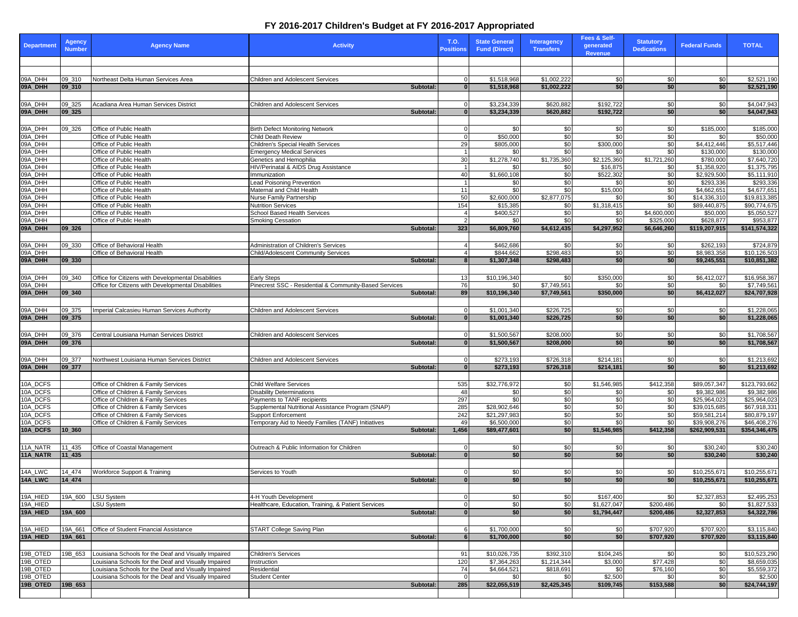## **FY 2016-2017 Children's Budget at FY 2016-2017 Appropriated**

| <b>Department</b>    | <b>Agency</b><br><b>Number</b> | <b>Agency Name</b>                                                           | <b>Activity</b>                                                   |           | T.O.<br><b>Positions</b> | <b>State General</b><br><b>Fund (Direct)</b> | <b>Interagency</b><br><b>Transfers</b> | Fees & Self-<br>generated<br><b>Revenue</b> | <b>Statutory</b><br><b>Dedications</b> | <b>Federal Funds</b>        | <b>TOTAL</b>                 |
|----------------------|--------------------------------|------------------------------------------------------------------------------|-------------------------------------------------------------------|-----------|--------------------------|----------------------------------------------|----------------------------------------|---------------------------------------------|----------------------------------------|-----------------------------|------------------------------|
|                      |                                |                                                                              |                                                                   |           |                          |                                              |                                        |                                             |                                        |                             |                              |
| 09A_DHH              | 09_310                         | Northeast Delta Human Services Area                                          | Children and Adolescent Services                                  |           |                          | \$1,518,968                                  | \$1,002,222                            | \$0                                         | \$0                                    | \$0                         | \$2,521,190                  |
| 09A_DHH              | 09_310                         |                                                                              |                                                                   | Subtotal: | $\bf{0}$                 | \$1,518,968                                  | \$1,002,222                            | \$0                                         | \$0                                    | \$0                         | \$2,521,190                  |
|                      |                                |                                                                              |                                                                   |           |                          |                                              |                                        |                                             |                                        |                             |                              |
| 09A_DHH              | 09_325                         | Acadiana Area Human Services District                                        | <b>Children and Adolescent Services</b>                           |           |                          | \$3,234,339                                  | \$620,882                              | \$192,722                                   | \$0                                    | \$0                         | \$4.047.943                  |
| 09A_DHH              | 09 325                         |                                                                              |                                                                   | Subtotal: | $\mathbf{0}$             | \$3,234,339                                  | \$620,882                              | \$192,722                                   | \$0                                    | \$0                         | \$4,047,943                  |
|                      |                                |                                                                              |                                                                   |           |                          |                                              |                                        |                                             |                                        |                             |                              |
| 09A_DHH<br>09A_DHH   | 09 326                         | Office of Public Health<br>Office of Public Health                           | <b>Birth Defect Monitoring Network</b><br>Child Death Review      |           | $\Omega$                 | \$0<br>\$50,000                              | \$0<br>\$0                             | \$0<br>\$0                                  | \$0<br>\$0                             | \$185,000<br>\$0            | \$185,000<br>\$50,000        |
| 09A_DHH              |                                | Office of Public Health                                                      | Children's Special Health Services                                |           | 29                       | \$805,000                                    | \$0                                    | \$300,000                                   | \$0                                    | \$4,412,446                 | \$5,517,446                  |
| 09A_DHH              |                                | Office of Public Health                                                      | <b>Emergency Medical Services</b>                                 |           |                          | \$0                                          | \$0                                    | \$0                                         | \$0                                    | \$130,000                   | \$130,000                    |
| 09A_DHH              |                                | Office of Public Health                                                      | Genetics and Hemophilia                                           |           | 30                       | \$1,278,740                                  | \$1,735,360                            | \$2,125,360                                 | \$1,721,260                            | \$780,000                   | \$7,640,720                  |
| 09A_DHH              |                                | Office of Public Health                                                      | HIV/Perinatal & AIDS Drug Assistance                              |           |                          | \$0                                          | \$0                                    | \$16,875                                    | \$0                                    | \$1,358,920                 | \$1,375,795                  |
| 09A_DHH<br>09A_DHH   |                                | Office of Public Health<br>Office of Public Health                           | Immunization<br><b>Lead Poisoning Prevention</b>                  |           | 40                       | \$1,660,108<br>\$0                           | \$0<br>\$0                             | \$522,302<br>\$0                            | \$0<br>\$0                             | \$2,929,500<br>\$293,336    | \$5,111,910<br>\$293,336     |
| 09A_DHH              |                                | Office of Public Health                                                      | Maternal and Child Health                                         |           | 11                       | \$0                                          | \$0                                    | \$15,000                                    | \$0                                    | \$4,662,651                 | \$4,677,651                  |
| 09A_DHH              |                                | Office of Public Health                                                      | Nurse Family Partnership                                          |           | 50                       | \$2,600,000                                  | \$2,877,075                            | \$0                                         | \$0                                    | \$14,336,310                | \$19,813,385                 |
| 09A_DHH              |                                | Office of Public Health                                                      | <b>Nutrition Services</b>                                         |           | 154                      | \$15,385                                     | \$0                                    | \$1,318,415                                 | \$0                                    | \$89,440,875                | \$90,774,675                 |
| 09A_DHH              |                                | Office of Public Health                                                      | School Based Health Services                                      |           | 4                        | \$400,527                                    | \$0                                    | \$0                                         | \$4,600,000                            | \$50,000                    | \$5,050,527                  |
| 09A_DHH<br>09A_DHH   | 09_326                         | Office of Public Health                                                      | <b>Smoking Cessation</b>                                          | Subtotal: | $\mathcal{P}$<br>323     | \$0<br>\$6,809,760                           | \$0<br>\$4,612,435                     | \$0<br>\$4,297,952                          | \$325,000<br>\$6,646,260               | \$628,877<br>\$119,207,915  | \$953,877<br>\$141,574,322   |
|                      |                                |                                                                              |                                                                   |           |                          |                                              |                                        |                                             |                                        |                             |                              |
| 09A_DHH              | 09_330                         | Office of Behavioral Health                                                  | Administration of Children's Services                             |           | 4                        | \$462,686                                    | \$0                                    | \$0                                         | \$0                                    | \$262,193                   | \$724,879                    |
| 09A_DHH              |                                | Office of Behavioral Health                                                  | Child/Adolescent Community Services                               |           |                          | \$844,662                                    | \$298,483                              | \$0                                         | \$0                                    | \$8,983,358                 | \$10,126,503                 |
| 09A_DHH              | 09_330                         |                                                                              |                                                                   | Subtotal  | 8                        | \$1,307,348                                  | \$298,483                              | \$0                                         | \$0                                    | \$9,245,551                 | \$10,851,382                 |
|                      |                                |                                                                              |                                                                   |           |                          |                                              |                                        |                                             |                                        |                             |                              |
| 09A_DHH              | 09 340                         | Office for Citizens with Developmental Disabilities                          | <b>Early Steps</b>                                                |           | 13                       | \$10,196,340                                 | \$0                                    | \$350,000                                   | \$0                                    | \$6,412,027                 | \$16,958,367                 |
| 09A_DHH              |                                | Office for Citizens with Developmental Disabilities                          | Pinecrest SSC - Residential & Community-Based Services            |           | 76                       | \$0                                          | \$7,749,561                            | \$0                                         | \$0                                    | \$0                         | \$7,749,561                  |
| 09A_DHH              | 09 340                         |                                                                              |                                                                   | Subtotal: | 89                       | \$10,196,340                                 | \$7,749,561                            | \$350,000                                   | \$0                                    | \$6,412,027                 | \$24,707,928                 |
| 09A_DHH              | 09_375                         | Imperial Calcasieu Human Services Authority                                  | <b>Children and Adolescent Services</b>                           |           | $\Omega$                 | \$1,001,340                                  | \$226,725                              | \$0                                         | \$0                                    | \$0                         | \$1,228,065                  |
| 09A_DHH              | 09_375                         |                                                                              |                                                                   | Subtotal: | $\overline{0}$           | \$1,001,340                                  | \$226,725                              | \$0                                         | \$0                                    | \$0                         | \$1,228,065                  |
|                      |                                |                                                                              |                                                                   |           |                          |                                              |                                        |                                             |                                        |                             |                              |
| 09A_DHH              | 09_376                         | Central Louisiana Human Services District                                    | Children and Adolescent Services                                  |           | 0                        | \$1,500,567                                  | \$208,000                              | \$0                                         | \$0                                    | \$0                         | \$1,708,567                  |
| 09A_DHH              | 09_376                         |                                                                              |                                                                   | Subtotal: |                          | \$1,500,567                                  | \$208,000                              | \$0                                         | \$0                                    | \$0                         | \$1,708,567                  |
|                      |                                |                                                                              |                                                                   |           |                          |                                              |                                        |                                             |                                        |                             |                              |
| 09A_DHH              | 09_377                         | Northwest Louisiana Human Services District                                  | Children and Adolescent Services                                  |           | $\mathbf{0}$             | \$273,193                                    | \$726,318                              | \$214,181                                   | \$0                                    | \$0                         | \$1,213,692                  |
| 09A_DHH              | 09_377                         |                                                                              |                                                                   | Subtotal: | $\bf{0}$                 | \$273,193                                    | \$726,318                              | \$214,181                                   | \$0                                    | \$0                         | \$1,213,692                  |
|                      |                                |                                                                              |                                                                   |           |                          |                                              |                                        |                                             |                                        |                             |                              |
| 10A_DCFS<br>10A_DCFS |                                | Office of Children & Family Services<br>Office of Children & Family Services | <b>Child Welfare Services</b><br><b>Disability Determinations</b> |           | 535<br>48                | \$32,776,972<br>\$0                          | \$0<br>\$0                             | \$1,546,985<br>\$0                          | \$412,358<br>\$0                       | \$89,057,347<br>\$9,382,986 | \$123,793,662<br>\$9,382,986 |
| 10A_DCFS             |                                | Office of Children & Family Services                                         | Payments to TANF recipients                                       |           | 297                      | \$0                                          | \$0                                    | \$0                                         | \$0                                    | \$25,964,023                | \$25,964,023                 |
| 10A_DCFS             |                                | Office of Children & Family Services                                         | Supplemental Nutritional Assistance Program (SNAP)                |           | 285                      | \$28,902,646                                 | \$0                                    | \$0                                         | \$0                                    | \$39,015,685                | \$67,918,331                 |
| 10A_DCFS             |                                | Office of Children & Family Services                                         | <b>Support Enforcement</b>                                        |           | 242                      | \$21,297,983                                 | \$0                                    | \$0                                         | \$0                                    | \$59,581,214                | \$80,879,197                 |
| 10A_DCFS             |                                | Office of Children & Family Services                                         | Temporary Aid to Needy Families (TANF) Initiatives                |           | 49                       | \$6,500,000                                  | \$0                                    | \$0                                         | \$0                                    | \$39,908,276                | \$46,408,276                 |
| 10A_DCFS             | 10 360                         |                                                                              |                                                                   | Subtotal: | 1,456                    | \$89,477,601                                 | \$0                                    | \$1,546,985                                 | \$412,358                              | \$262,909,531               | \$354,346,475                |
|                      |                                |                                                                              |                                                                   |           | $\overline{0}$           |                                              |                                        |                                             |                                        | \$30,240                    | \$30,240                     |
| 11A_NATR<br>11A_NATR | 11_435<br>$11 - 435$           | Office of Coastal Management                                                 | Outreach & Public Information for Children                        | Subtotal: | $\bf{0}$                 | \$0<br>\$0                                   | \$0<br>\$0                             | \$0<br>\$0                                  | \$0<br>\$0                             | \$30,240                    | \$30,240                     |
|                      |                                |                                                                              |                                                                   |           |                          |                                              |                                        |                                             |                                        |                             |                              |
| 14A_LWC              | 14 474                         | Workforce Support & Training                                                 | Services to Youth                                                 |           |                          | \$0                                          | \$0                                    | \$0                                         | \$0                                    | \$10,255,671                | \$10,255,671                 |
| 14A_LWC              | 14 474                         |                                                                              |                                                                   | Subtotal: | $\Omega$                 | \$0                                          | \$0                                    | \$0                                         | \$0                                    | \$10,255,671                | \$10,255,671                 |
|                      |                                |                                                                              |                                                                   |           |                          |                                              |                                        |                                             |                                        |                             |                              |
| 19A_HIED             | 19A_600                        | <b>LSU System</b>                                                            | 4-H Youth Development                                             |           |                          | \$0                                          | \$0                                    | \$167,400                                   | \$0                                    | \$2,327,853                 | \$2,495,253                  |
| 19A_HIED             |                                | SU System                                                                    | Healthcare, Education, Training, & Patient Services               |           | 0                        | \$0                                          | \$0                                    | \$1,627,047                                 | \$200,486                              | \$0                         | \$1,827,533                  |
| 19A_HIED             | 19A_600                        |                                                                              |                                                                   | Subtotal: |                          | \$0                                          | \$0                                    | \$1,794,447                                 | \$200,486                              | \$2,327,853                 | \$4,322,786                  |
| 19A_HIED             | 19A_661                        | Office of Student Financial Assistance                                       | START College Saving Plan                                         |           | $6 \mid$                 | \$1,700,000                                  | \$0                                    | \$0                                         | \$707,920                              | \$707,920                   | \$3,115,840                  |
| 19A_HIED             | 19A_661                        |                                                                              |                                                                   | Subtotal: | 6                        | \$1,700,000                                  | \$0                                    | \$0                                         | \$707,920                              | \$707,920                   | \$3,115,840                  |
|                      |                                |                                                                              |                                                                   |           |                          |                                              |                                        |                                             |                                        |                             |                              |
| 19B OTED             | 19B 653                        | Louisiana Schools for the Deaf and Visually Impaired                         | <b>Children's Services</b>                                        |           | 91                       | \$10,026,735                                 | \$392,310                              | \$104,245                                   | \$0                                    | \$0                         | \$10,523,290                 |
| 19B_OTED             |                                | Louisiana Schools for the Deaf and Visually Impaired                         | Instruction                                                       |           | 120                      | \$7,364,263                                  | \$1,214,344                            | \$3,000                                     | \$77,428                               | \$0                         | \$8,659,035                  |
| 19B OTED             |                                | Louisiana Schools for the Deaf and Visually Impaired                         | Residential                                                       |           | 74                       | \$4,664,521                                  | \$818,691                              | \$0                                         | \$76,160                               | \$0                         | \$5,559,372                  |
| 19B OTED             |                                | Louisiana Schools for the Deaf and Visually Impaired                         | <b>Student Center</b>                                             |           | $\Omega$                 | \$0                                          | \$0                                    | \$2,500                                     | \$0                                    | \$0                         | \$2,500                      |
| 19B_OTED             | 19B_653                        |                                                                              |                                                                   | Subtotal: | 285                      | \$22,055,519                                 | \$2,425,345                            | \$109,745                                   | \$153,588                              | \$0                         | \$24,744,197                 |
|                      |                                |                                                                              |                                                                   |           |                          |                                              |                                        |                                             |                                        |                             |                              |